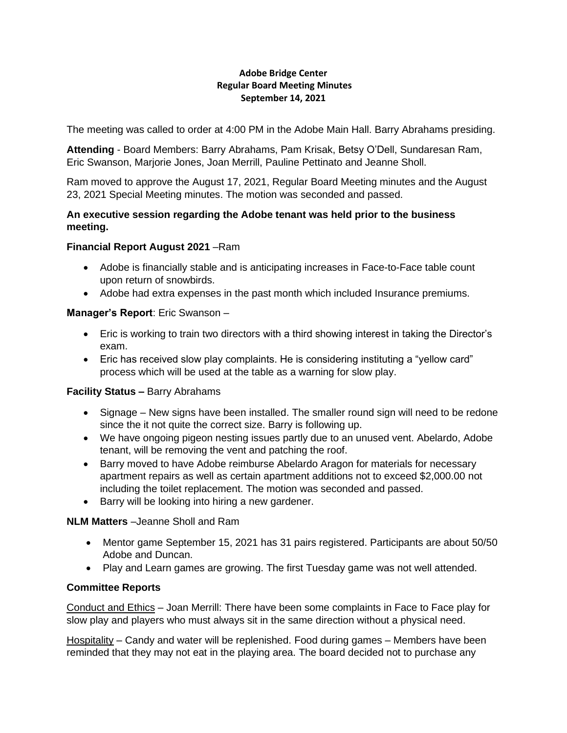#### **Adobe Bridge Center Regular Board Meeting Minutes September 14, 2021**

The meeting was called to order at 4:00 PM in the Adobe Main Hall. Barry Abrahams presiding.

**Attending** - Board Members: Barry Abrahams, Pam Krisak, Betsy O'Dell, Sundaresan Ram, Eric Swanson, Marjorie Jones, Joan Merrill, Pauline Pettinato and Jeanne Sholl.

Ram moved to approve the August 17, 2021, Regular Board Meeting minutes and the August 23, 2021 Special Meeting minutes. The motion was seconded and passed.

#### **An executive session regarding the Adobe tenant was held prior to the business meeting.**

#### **Financial Report August 2021** –Ram

- Adobe is financially stable and is anticipating increases in Face-to-Face table count upon return of snowbirds.
- Adobe had extra expenses in the past month which included Insurance premiums.

## **Manager's Report**: Eric Swanson –

- Eric is working to train two directors with a third showing interest in taking the Director's exam.
- Eric has received slow play complaints. He is considering instituting a "yellow card" process which will be used at the table as a warning for slow play.

## **Facility Status –** Barry Abrahams

- Signage New signs have been installed. The smaller round sign will need to be redone since the it not quite the correct size. Barry is following up.
- We have ongoing pigeon nesting issues partly due to an unused vent. Abelardo, Adobe tenant, will be removing the vent and patching the roof.
- Barry moved to have Adobe reimburse Abelardo Aragon for materials for necessary apartment repairs as well as certain apartment additions not to exceed \$2,000.00 not including the toilet replacement. The motion was seconded and passed.
- Barry will be looking into hiring a new gardener.

## **NLM Matters** –Jeanne Sholl and Ram

- Mentor game September 15, 2021 has 31 pairs registered. Participants are about 50/50 Adobe and Duncan.
- Play and Learn games are growing. The first Tuesday game was not well attended.

# **Committee Reports**

Conduct and Ethics – Joan Merrill: There have been some complaints in Face to Face play for slow play and players who must always sit in the same direction without a physical need.

Hospitality – Candy and water will be replenished. Food during games – Members have been reminded that they may not eat in the playing area. The board decided not to purchase any